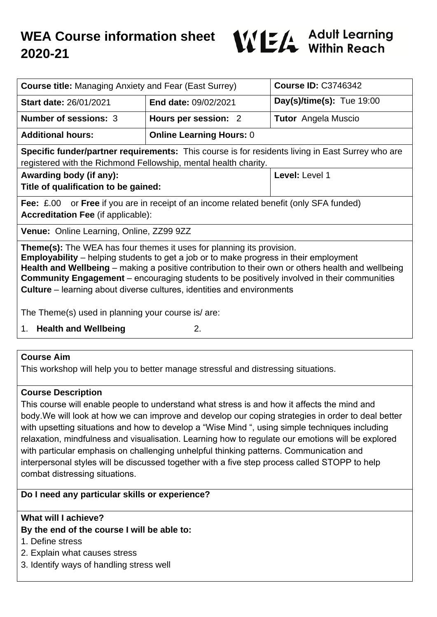

| <b>Course title: Managing Anxiety and Fear (East Surrey)</b>                                                                                                                                                                                                                                                                                                                                                                                                     |                                 | <b>Course ID: C3746342</b>  |
|------------------------------------------------------------------------------------------------------------------------------------------------------------------------------------------------------------------------------------------------------------------------------------------------------------------------------------------------------------------------------------------------------------------------------------------------------------------|---------------------------------|-----------------------------|
| <b>Start date: 26/01/2021</b>                                                                                                                                                                                                                                                                                                                                                                                                                                    | <b>End date: 09/02/2021</b>     | Day(s)/time(s): Tue $19:00$ |
| Number of sessions: 3                                                                                                                                                                                                                                                                                                                                                                                                                                            | Hours per session: 2            | <b>Tutor</b> Angela Muscio  |
| <b>Additional hours:</b>                                                                                                                                                                                                                                                                                                                                                                                                                                         | <b>Online Learning Hours: 0</b> |                             |
| Specific funder/partner requirements: This course is for residents living in East Surrey who are<br>registered with the Richmond Fellowship, mental health charity.                                                                                                                                                                                                                                                                                              |                                 |                             |
| Awarding body (if any):<br>Title of qualification to be gained:                                                                                                                                                                                                                                                                                                                                                                                                  |                                 | Level: Level 1              |
| <b>Fee:</b> £.00 or <b>Free</b> if you are in receipt of an income related benefit (only SFA funded)<br><b>Accreditation Fee (if applicable):</b>                                                                                                                                                                                                                                                                                                                |                                 |                             |
| Venue: Online Learning, Online, ZZ99 9ZZ                                                                                                                                                                                                                                                                                                                                                                                                                         |                                 |                             |
| <b>Theme(s):</b> The WEA has four themes it uses for planning its provision.<br><b>Employability</b> – helping students to get a job or to make progress in their employment<br>Health and Wellbeing - making a positive contribution to their own or others health and wellbeing<br>Community Engagement - encouraging students to be positively involved in their communities<br><b>Culture</b> – learning about diverse cultures, identities and environments |                                 |                             |
| The Theme(s) used in planning your course is/ are:                                                                                                                                                                                                                                                                                                                                                                                                               |                                 |                             |
| 1. Health and Wellbeing                                                                                                                                                                                                                                                                                                                                                                                                                                          | 2.                              |                             |
|                                                                                                                                                                                                                                                                                                                                                                                                                                                                  |                                 |                             |
| <b>Course Aim</b><br>This workshop will help you to better manage stressful and distressing situations.                                                                                                                                                                                                                                                                                                                                                          |                                 |                             |

# **Course Description**

This course will enable people to understand what stress is and how it affects the mind and body.We will look at how we can improve and develop our coping strategies in order to deal better with upsetting situations and how to develop a "Wise Mind ", using simple techniques including relaxation, mindfulness and visualisation. Learning how to regulate our emotions will be explored with particular emphasis on challenging unhelpful thinking patterns. Communication and interpersonal styles will be discussed together with a five step process called STOPP to help combat distressing situations.

# **Do I need any particular skills or experience?**

# **What will I achieve?**

# **By the end of the course I will be able to:**

- 1. Define stress
- 2. Explain what causes stress
- 3. Identify ways of handling stress well